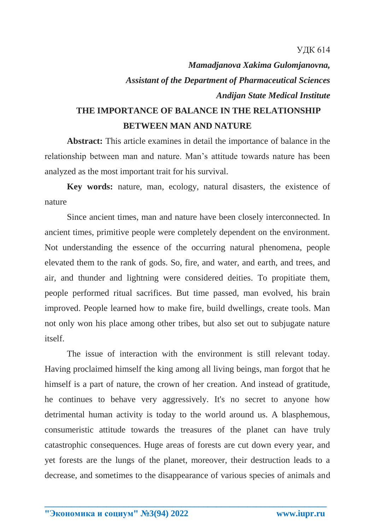*Mamadjanova Xakima Gulomjanovna, Assistant of the Department of Pharmaceutical Sciences Andijan State Medical Institute*

## **THE IMPORTANCE OF BALANCE IN THE RELATIONSHIP BETWEEN MAN AND NATURE**

**Abstract:** This article examines in detail the importance of balance in the relationship between man and nature. Man's attitude towards nature has been analyzed as the most important trait for his survival.

**Key words:** nature, man, ecology, natural disasters, the existence of nature

Since ancient times, man and nature have been closely interconnected. In ancient times, primitive people were completely dependent on the environment. Not understanding the essence of the occurring natural phenomena, people elevated them to the rank of gods. So, fire, and water, and earth, and trees, and air, and thunder and lightning were considered deities. To propitiate them, people performed ritual sacrifices. But time passed, man evolved, his brain improved. People learned how to make fire, build dwellings, create tools. Man not only won his place among other tribes, but also set out to subjugate nature itself.

The issue of interaction with the environment is still relevant today. Having proclaimed himself the king among all living beings, man forgot that he himself is a part of nature, the crown of her creation. And instead of gratitude, he continues to behave very aggressively. It's no secret to anyone how detrimental human activity is today to the world around us. A blasphemous, consumeristic attitude towards the treasures of the planet can have truly catastrophic consequences. Huge areas of forests are cut down every year, and yet forests are the lungs of the planet, moreover, their destruction leads to a decrease, and sometimes to the disappearance of various species of animals and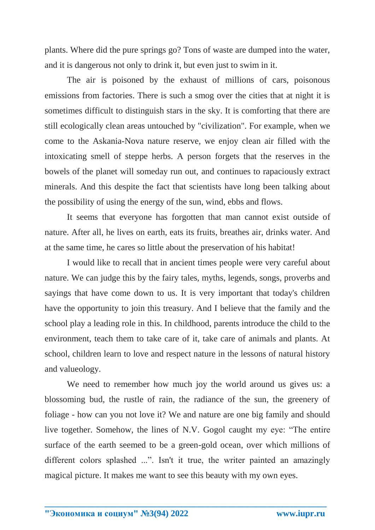plants. Where did the pure springs go? Tons of waste are dumped into the water, and it is dangerous not only to drink it, but even just to swim in it.

The air is poisoned by the exhaust of millions of cars, poisonous emissions from factories. There is such a smog over the cities that at night it is sometimes difficult to distinguish stars in the sky. It is comforting that there are still ecologically clean areas untouched by "civilization". For example, when we come to the Askania-Nova nature reserve, we enjoy clean air filled with the intoxicating smell of steppe herbs. A person forgets that the reserves in the bowels of the planet will someday run out, and continues to rapaciously extract minerals. And this despite the fact that scientists have long been talking about the possibility of using the energy of the sun, wind, ebbs and flows.

It seems that everyone has forgotten that man cannot exist outside of nature. After all, he lives on earth, eats its fruits, breathes air, drinks water. And at the same time, he cares so little about the preservation of his habitat!

I would like to recall that in ancient times people were very careful about nature. We can judge this by the fairy tales, myths, legends, songs, proverbs and sayings that have come down to us. It is very important that today's children have the opportunity to join this treasury. And I believe that the family and the school play a leading role in this. In childhood, parents introduce the child to the environment, teach them to take care of it, take care of animals and plants. At school, children learn to love and respect nature in the lessons of natural history and valueology.

We need to remember how much joy the world around us gives us: a blossoming bud, the rustle of rain, the radiance of the sun, the greenery of foliage - how can you not love it? We and nature are one big family and should live together. Somehow, the lines of N.V. Gogol caught my eye: "The entire surface of the earth seemed to be a green-gold ocean, over which millions of different colors splashed ...". Isn't it true, the writer painted an amazingly magical picture. It makes me want to see this beauty with my own eyes.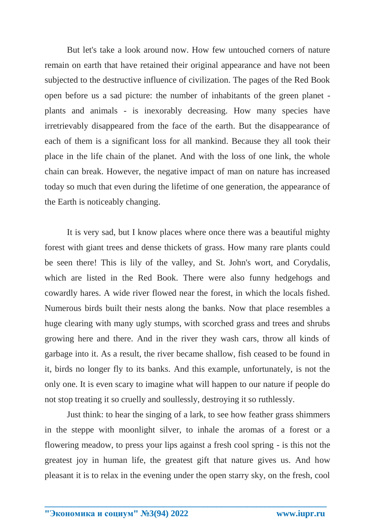But let's take a look around now. How few untouched corners of nature remain on earth that have retained their original appearance and have not been subjected to the destructive influence of civilization. The pages of the Red Book open before us a sad picture: the number of inhabitants of the green planet plants and animals - is inexorably decreasing. How many species have irretrievably disappeared from the face of the earth. But the disappearance of each of them is a significant loss for all mankind. Because they all took their place in the life chain of the planet. And with the loss of one link, the whole chain can break. However, the negative impact of man on nature has increased today so much that even during the lifetime of one generation, the appearance of the Earth is noticeably changing.

It is very sad, but I know places where once there was a beautiful mighty forest with giant trees and dense thickets of grass. How many rare plants could be seen there! This is lily of the valley, and St. John's wort, and Corydalis, which are listed in the Red Book. There were also funny hedgehogs and cowardly hares. A wide river flowed near the forest, in which the locals fished. Numerous birds built their nests along the banks. Now that place resembles a huge clearing with many ugly stumps, with scorched grass and trees and shrubs growing here and there. And in the river they wash cars, throw all kinds of garbage into it. As a result, the river became shallow, fish ceased to be found in it, birds no longer fly to its banks. And this example, unfortunately, is not the only one. It is even scary to imagine what will happen to our nature if people do not stop treating it so cruelly and soullessly, destroying it so ruthlessly.

Just think: to hear the singing of a lark, to see how feather grass shimmers in the steppe with moonlight silver, to inhale the aromas of a forest or a flowering meadow, to press your lips against a fresh cool spring - is this not the greatest joy in human life, the greatest gift that nature gives us. And how pleasant it is to relax in the evening under the open starry sky, on the fresh, cool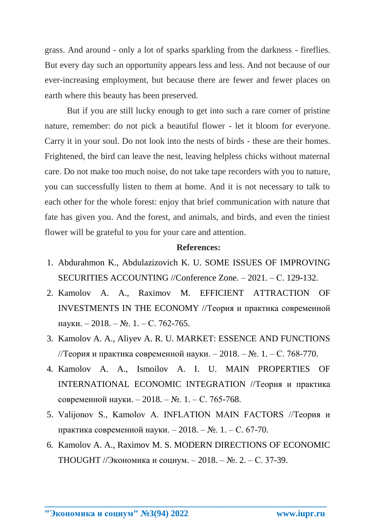grass. And around - only a lot of sparks sparkling from the darkness - fireflies. But every day such an opportunity appears less and less. And not because of our ever-increasing employment, but because there are fewer and fewer places on earth where this beauty has been preserved.

But if you are still lucky enough to get into such a rare corner of pristine nature, remember: do not pick a beautiful flower - let it bloom for everyone. Carry it in your soul. Do not look into the nests of birds - these are their homes. Frightened, the bird can leave the nest, leaving helpless chicks without maternal care. Do not make too much noise, do not take tape recorders with you to nature, you can successfully listen to them at home. And it is not necessary to talk to each other for the whole forest: enjoy that brief communication with nature that fate has given you. And the forest, and animals, and birds, and even the tiniest flower will be grateful to you for your care and attention.

## **References:**

- 1. Abdurahmon K., Abdulazizovich K. U. SOME ISSUES OF IMPROVING SECURITIES ACCOUNTING //Conference Zone. – 2021. – С. 129-132.
- 2. Kamolov A. A., Raximov M. EFFICIENT ATTRACTION OF INVESTMENTS IN THE ECONOMY //Теория и практика современной науки. – 2018. – №. 1. – С. 762-765.
- 3. Kamolov A. A., Aliyev A. R. U. MARKET: ESSENCE AND FUNCTIONS //Теория и практика современной науки. – 2018. – №. 1. – С. 768-770.
- 4. Kamolov A. A., Ismoilov A. I. U. MAIN PROPERTIES OF INTERNATIONAL ECONOMIC INTEGRATION //Теория и практика современной науки. – 2018. – №. 1. – С. 765-768.
- 5. Valijonov S., Kamolov A. INFLATION MAIN FACTORS //Теория и практика современной науки. – 2018. – №. 1. – С. 67-70.
- 6. Kamolov A. A., Raximov M. S. MODERN DIRECTIONS OF ECONOMIC THOUGHT //Экономика и социум. – 2018. – №. 2. – С. 37-39.